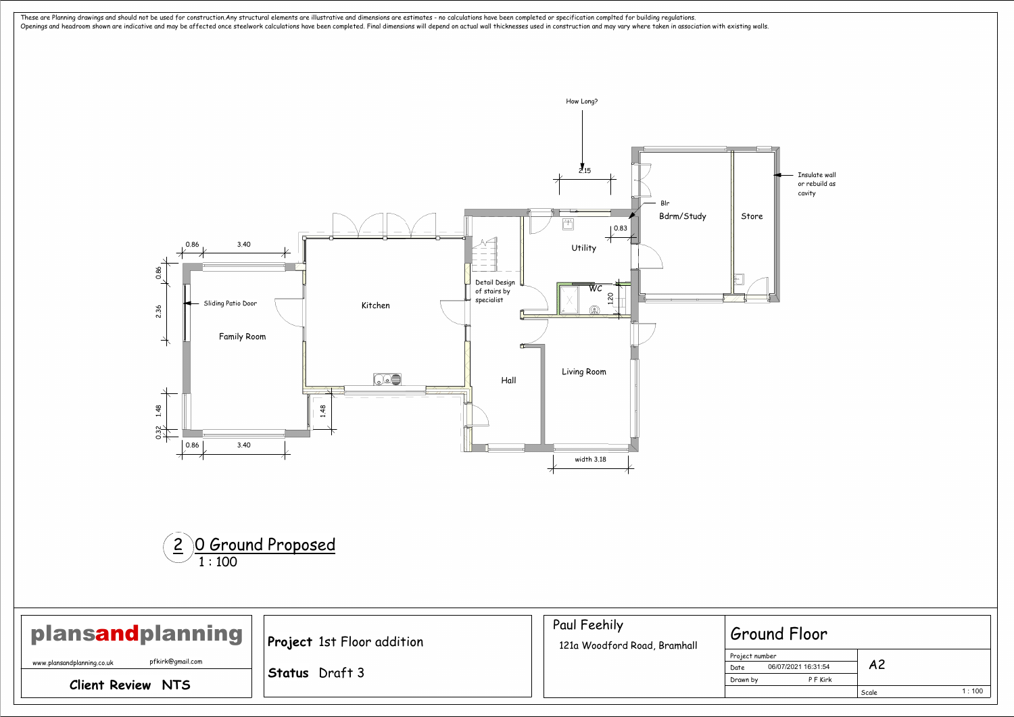

## Scale 1 : 100 06/07/2021 16:31:54 nd Floor A2

| <b>plansandplanning</b>                        | Project 1st Floor addition | Paul Feehily<br>121a Woodford Road, Bramhall | <b>Ground Floor</b>                           |
|------------------------------------------------|----------------------------|----------------------------------------------|-----------------------------------------------|
| pfkirk@gmail.com<br>www.plansandplanning.co.uk | <b>Status</b> Draft 3      |                                              | Project number<br>06/07/2021 16:31:54<br>Date |
| <b>Client Review NTS</b>                       |                            |                                              | P F Kirk<br>Drawn by                          |

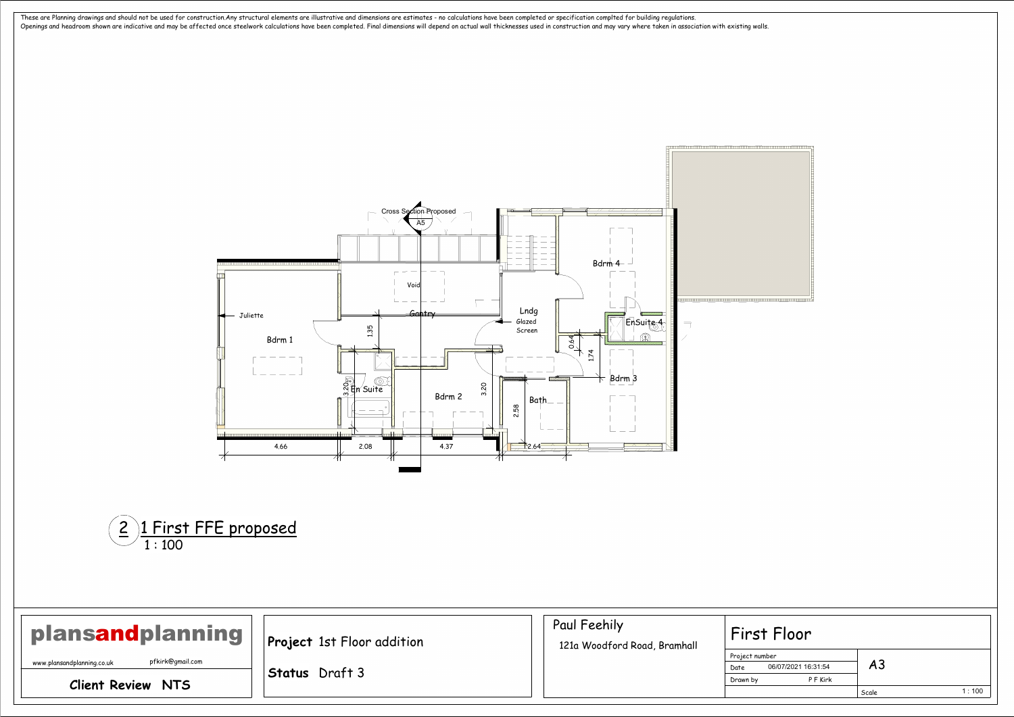<span id="page-1-0"></span>

## Scale er<br>— 1 : 100 06/07/2021 16:31:54 Floor A3

| plansandplanning                               | <b>Project</b> 1st Floor addition | Paul Feehily<br>121a Woodford Road, Bramhall | First Floor                                   |
|------------------------------------------------|-----------------------------------|----------------------------------------------|-----------------------------------------------|
| pfkirk@gmail.com<br>www.plansandplanning.co.uk | <b>Status</b> Draft 3             |                                              | Project number<br>06/07/2021 16:31:54<br>Date |
| <b>Client Review NTS</b>                       |                                   |                                              | P F Kirk<br>Drawn by                          |

| ï<br>× |  |
|--------|--|
|        |  |
|        |  |

| فسرسس سيستبرئ ستن |  |
|-------------------|--|

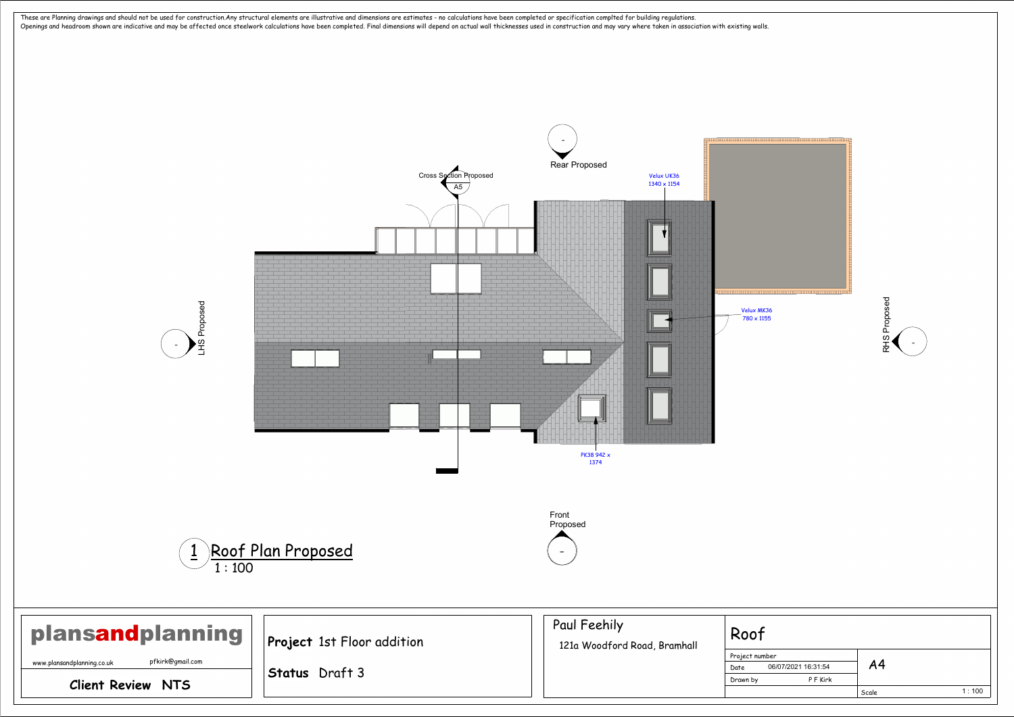



| ï |  |  |
|---|--|--|
|   |  |  |
|   |  |  |

| T |
|---|
|   |
|   |

| ber<br>06/07/2021 16:31:54 | A <sub>4</sub> |       |
|----------------------------|----------------|-------|
| P F Kirk                   |                |       |
|                            | Scale          | 1:100 |